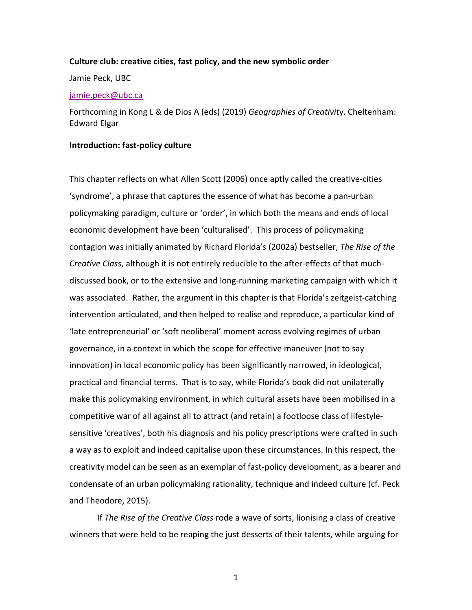### **Culture club: creative cities, fast policy, and the new symbolic order**

Jamie Peck, UBC

### jamie.peck@ubc.ca

Forthcoming in Kong L & de Dios A (eds) (2019) *Geographies of Creativit*y. Cheltenham: Edward Elgar

## **Introduction: fast-policy culture**

This chapter reflects on what Allen Scott (2006) once aptly called the creative-cities 'syndrome', a phrase that captures the essence of what has become a pan-urban policymaking paradigm, culture or 'order', in which both the means and ends of local economic development have been 'culturalised'. This process of policymaking contagion was initially animated by Richard Florida's (2002a) bestseller, *The Rise of the Creative Class*, although it is not entirely reducible to the after-effects of that muchdiscussed book, or to the extensive and long-running marketing campaign with which it was associated. Rather, the argument in this chapter is that Florida's zeitgeist-catching intervention articulated, and then helped to realise and reproduce, a particular kind of 'late entrepreneurial' or 'soft neoliberal' moment across evolving regimes of urban governance, in a context in which the scope for effective maneuver (not to say innovation) in local economic policy has been significantly narrowed, in ideological, practical and financial terms. That is to say, while Florida's book did not unilaterally make this policymaking environment, in which cultural assets have been mobilised in a competitive war of all against all to attract (and retain) a footloose class of lifestylesensitive 'creatives', both his diagnosis and his policy prescriptions were crafted in such a way as to exploit and indeed capitalise upon these circumstances. In this respect, the creativity model can be seen as an exemplar of fast-policy development, as a bearer and condensate of an urban policymaking rationality, technique and indeed culture (cf. Peck and Theodore, 2015).

If *The Rise of the Creative Class* rode a wave of sorts, lionising a class of creative winners that were held to be reaping the just desserts of their talents, while arguing for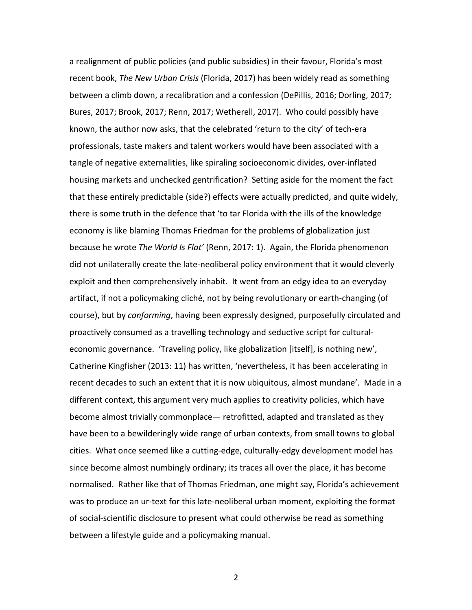a realignment of public policies (and public subsidies) in their favour, Florida's most recent book, *The New Urban Crisis* (Florida, 2017) has been widely read as something between a climb down, a recalibration and a confession (DePillis, 2016; Dorling, 2017; Bures, 2017; Brook, 2017; Renn, 2017; Wetherell, 2017). Who could possibly have known, the author now asks, that the celebrated 'return to the city' of tech-era professionals, taste makers and talent workers would have been associated with a tangle of negative externalities, like spiraling socioeconomic divides, over-inflated housing markets and unchecked gentrification? Setting aside for the moment the fact that these entirely predictable (side?) effects were actually predicted, and quite widely, there is some truth in the defence that 'to tar Florida with the ills of the knowledge economy is like blaming Thomas Friedman for the problems of globalization just because he wrote *The World Is Flat'* (Renn, 2017: 1). Again, the Florida phenomenon did not unilaterally create the late-neoliberal policy environment that it would cleverly exploit and then comprehensively inhabit. It went from an edgy idea to an everyday artifact, if not a policymaking cliché, not by being revolutionary or earth-changing (of course), but by *conforming*, having been expressly designed, purposefully circulated and proactively consumed as a travelling technology and seductive script for culturaleconomic governance. 'Traveling policy, like globalization [itself], is nothing new', Catherine Kingfisher (2013: 11) has written, 'nevertheless, it has been accelerating in recent decades to such an extent that it is now ubiquitous, almost mundane'. Made in a different context, this argument very much applies to creativity policies, which have become almost trivially commonplace— retrofitted, adapted and translated as they have been to a bewilderingly wide range of urban contexts, from small towns to global cities. What once seemed like a cutting-edge, culturally-edgy development model has since become almost numbingly ordinary; its traces all over the place, it has become normalised. Rather like that of Thomas Friedman, one might say, Florida's achievement was to produce an ur-text for this late-neoliberal urban moment, exploiting the format of social-scientific disclosure to present what could otherwise be read as something between a lifestyle guide and a policymaking manual.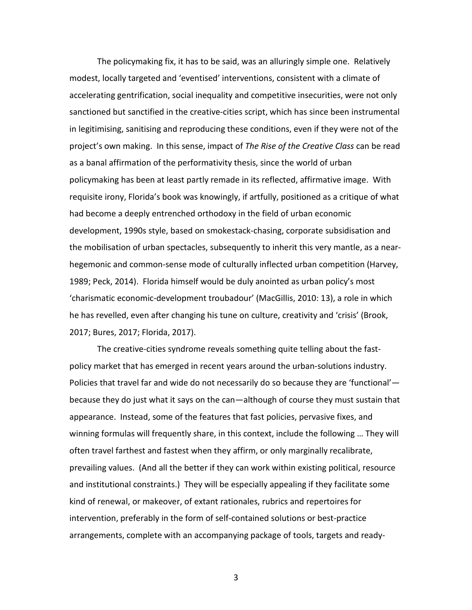The policymaking fix, it has to be said, was an alluringly simple one. Relatively modest, locally targeted and 'eventised' interventions, consistent with a climate of accelerating gentrification, social inequality and competitive insecurities, were not only sanctioned but sanctified in the creative-cities script, which has since been instrumental in legitimising, sanitising and reproducing these conditions, even if they were not of the project's own making. In this sense, impact of *The Rise of the Creative Class* can be read as a banal affirmation of the performativity thesis, since the world of urban policymaking has been at least partly remade in its reflected, affirmative image. With requisite irony, Florida's book was knowingly, if artfully, positioned as a critique of what had become a deeply entrenched orthodoxy in the field of urban economic development, 1990s style, based on smokestack-chasing, corporate subsidisation and the mobilisation of urban spectacles, subsequently to inherit this very mantle, as a nearhegemonic and common-sense mode of culturally inflected urban competition (Harvey, 1989; Peck, 2014). Florida himself would be duly anointed as urban policy's most 'charismatic economic-development troubadour' (MacGillis, 2010: 13), a role in which he has revelled, even after changing his tune on culture, creativity and 'crisis' (Brook, 2017; Bures, 2017; Florida, 2017).

The creative-cities syndrome reveals something quite telling about the fastpolicy market that has emerged in recent years around the urban-solutions industry. Policies that travel far and wide do not necessarily do so because they are 'functional' because they do just what it says on the can—although of course they must sustain that appearance. Instead, some of the features that fast policies, pervasive fixes, and winning formulas will frequently share, in this context, include the following … They will often travel farthest and fastest when they affirm, or only marginally recalibrate, prevailing values. (And all the better if they can work within existing political, resource and institutional constraints.) They will be especially appealing if they facilitate some kind of renewal, or makeover, of extant rationales, rubrics and repertoires for intervention, preferably in the form of self-contained solutions or best-practice arrangements, complete with an accompanying package of tools, targets and ready-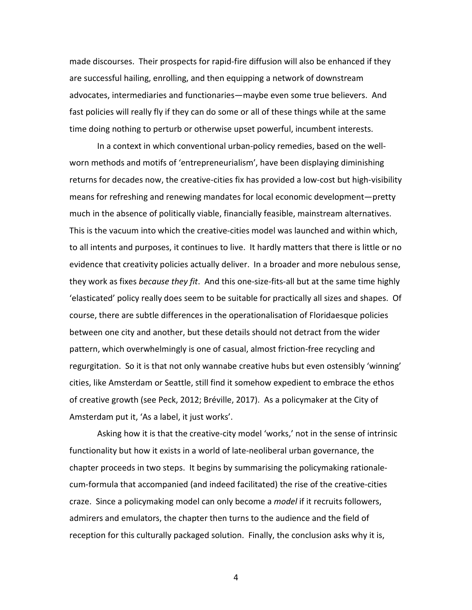made discourses. Their prospects for rapid-fire diffusion will also be enhanced if they are successful hailing, enrolling, and then equipping a network of downstream advocates, intermediaries and functionaries—maybe even some true believers. And fast policies will really fly if they can do some or all of these things while at the same time doing nothing to perturb or otherwise upset powerful, incumbent interests.

In a context in which conventional urban-policy remedies, based on the wellworn methods and motifs of 'entrepreneurialism', have been displaying diminishing returns for decades now, the creative-cities fix has provided a low-cost but high-visibility means for refreshing and renewing mandates for local economic development—pretty much in the absence of politically viable, financially feasible, mainstream alternatives. This is the vacuum into which the creative-cities model was launched and within which, to all intents and purposes, it continues to live. It hardly matters that there is little or no evidence that creativity policies actually deliver. In a broader and more nebulous sense, they work as fixes *because they fit*. And this one-size-fits-all but at the same time highly 'elasticated' policy really does seem to be suitable for practically all sizes and shapes. Of course, there are subtle differences in the operationalisation of Floridaesque policies between one city and another, but these details should not detract from the wider pattern, which overwhelmingly is one of casual, almost friction-free recycling and regurgitation. So it is that not only wannabe creative hubs but even ostensibly 'winning' cities, like Amsterdam or Seattle, still find it somehow expedient to embrace the ethos of creative growth (see Peck, 2012; Bréville, 2017). As a policymaker at the City of Amsterdam put it, 'As a label, it just works'.

Asking how it is that the creative-city model 'works,' not in the sense of intrinsic functionality but how it exists in a world of late-neoliberal urban governance, the chapter proceeds in two steps. It begins by summarising the policymaking rationalecum-formula that accompanied (and indeed facilitated) the rise of the creative-cities craze. Since a policymaking model can only become a *model* if it recruits followers, admirers and emulators, the chapter then turns to the audience and the field of reception for this culturally packaged solution. Finally, the conclusion asks why it is,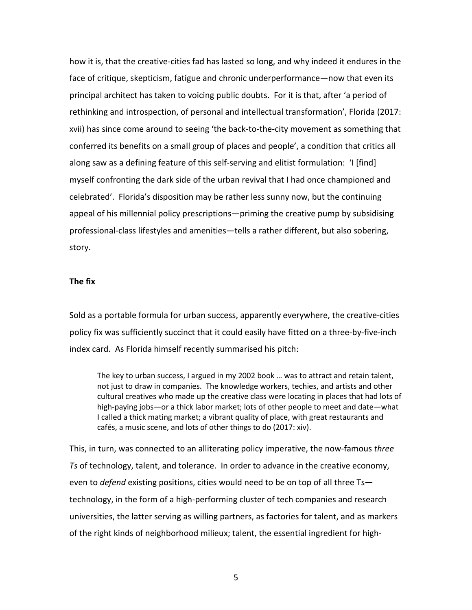how it is, that the creative-cities fad has lasted so long, and why indeed it endures in the face of critique, skepticism, fatigue and chronic underperformance—now that even its principal architect has taken to voicing public doubts. For it is that, after 'a period of rethinking and introspection, of personal and intellectual transformation', Florida (2017: xvii) has since come around to seeing 'the back-to-the-city movement as something that conferred its benefits on a small group of places and people', a condition that critics all along saw as a defining feature of this self-serving and elitist formulation: 'I [find] myself confronting the dark side of the urban revival that I had once championed and celebrated'. Florida's disposition may be rather less sunny now, but the continuing appeal of his millennial policy prescriptions—priming the creative pump by subsidising professional-class lifestyles and amenities—tells a rather different, but also sobering, story.

# **The fix**

Sold as a portable formula for urban success, apparently everywhere, the creative-cities policy fix was sufficiently succinct that it could easily have fitted on a three-by-five-inch index card. As Florida himself recently summarised his pitch:

The key to urban success, I argued in my 2002 book … was to attract and retain talent, not just to draw in companies. The knowledge workers, techies, and artists and other cultural creatives who made up the creative class were locating in places that had lots of high-paying jobs—or a thick labor market; lots of other people to meet and date—what I called a thick mating market; a vibrant quality of place, with great restaurants and cafés, a music scene, and lots of other things to do (2017: xiv).

This, in turn, was connected to an alliterating policy imperative, the now-famous *three Ts* of technology, talent, and tolerance. In order to advance in the creative economy, even to *defend* existing positions, cities would need to be on top of all three Ts technology, in the form of a high-performing cluster of tech companies and research universities, the latter serving as willing partners, as factories for talent, and as markers of the right kinds of neighborhood milieux; talent, the essential ingredient for high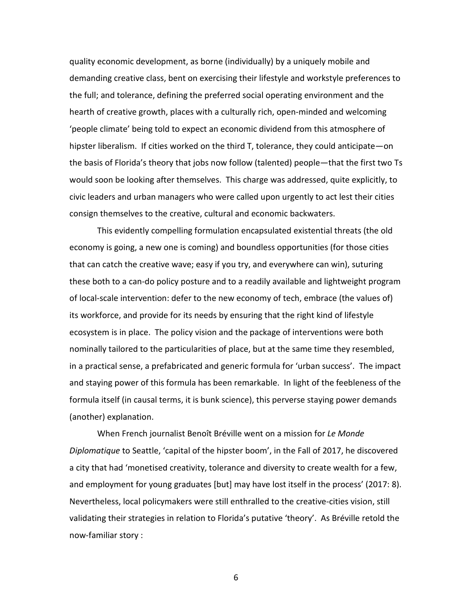quality economic development, as borne (individually) by a uniquely mobile and demanding creative class, bent on exercising their lifestyle and workstyle preferences to the full; and tolerance, defining the preferred social operating environment and the hearth of creative growth, places with a culturally rich, open-minded and welcoming 'people climate' being told to expect an economic dividend from this atmosphere of hipster liberalism. If cities worked on the third T, tolerance, they could anticipate—on the basis of Florida's theory that jobs now follow (talented) people—that the first two Ts would soon be looking after themselves. This charge was addressed, quite explicitly, to civic leaders and urban managers who were called upon urgently to act lest their cities consign themselves to the creative, cultural and economic backwaters.

This evidently compelling formulation encapsulated existential threats (the old economy is going, a new one is coming) and boundless opportunities (for those cities that can catch the creative wave; easy if you try, and everywhere can win), suturing these both to a can-do policy posture and to a readily available and lightweight program of local-scale intervention: defer to the new economy of tech, embrace (the values of) its workforce, and provide for its needs by ensuring that the right kind of lifestyle ecosystem is in place. The policy vision and the package of interventions were both nominally tailored to the particularities of place, but at the same time they resembled, in a practical sense, a prefabricated and generic formula for 'urban success'. The impact and staying power of this formula has been remarkable. In light of the feebleness of the formula itself (in causal terms, it is bunk science), this perverse staying power demands (another) explanation.

When French journalist Benoît Bréville went on a mission for *Le Monde Diplomatique* to Seattle, 'capital of the hipster boom', in the Fall of 2017, he discovered a city that had 'monetised creativity, tolerance and diversity to create wealth for a few, and employment for young graduates [but] may have lost itself in the process' (2017: 8). Nevertheless, local policymakers were still enthralled to the creative-cities vision, still validating their strategies in relation to Florida's putative 'theory'. As Bréville retold the now-familiar story :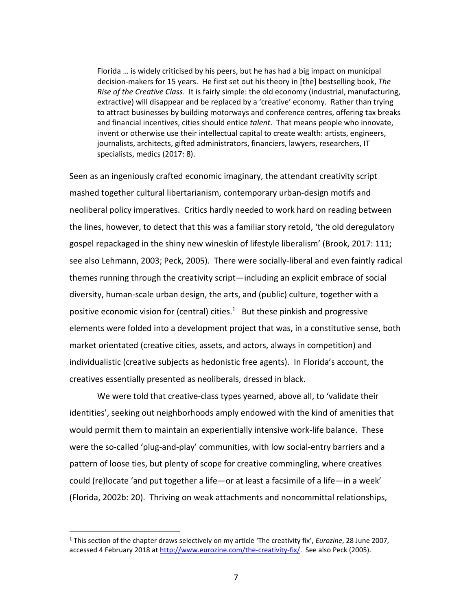Florida … is widely criticised by his peers, but he has had a big impact on municipal decision-makers for 15 years. He first set out his theory in [the] bestselling book, *The Rise of the Creative Class*. It is fairly simple: the old economy (industrial, manufacturing, extractive) will disappear and be replaced by a 'creative' economy. Rather than trying to attract businesses by building motorways and conference centres, offering tax breaks and financial incentives, cities should entice *talent*. That means people who innovate, invent or otherwise use their intellectual capital to create wealth: artists, engineers, journalists, architects, gifted administrators, financiers, lawyers, researchers, IT specialists, medics (2017: 8).

Seen as an ingeniously crafted economic imaginary, the attendant creativity script mashed together cultural libertarianism, contemporary urban-design motifs and neoliberal policy imperatives. Critics hardly needed to work hard on reading between the lines, however, to detect that this was a familiar story retold, 'the old deregulatory gospel repackaged in the shiny new wineskin of lifestyle liberalism' (Brook, 2017: 111; see also Lehmann, 2003; Peck, 2005). There were socially-liberal and even faintly radical themes running through the creativity script—including an explicit embrace of social diversity, human-scale urban design, the arts, and (public) culture, together with a positive economic vision for (central) cities.<sup>1</sup> But these pinkish and progressive elements were folded into a development project that was, in a constitutive sense, both market orientated (creative cities, assets, and actors, always in competition) and individualistic (creative subjects as hedonistic free agents). In Florida's account, the creatives essentially presented as neoliberals, dressed in black.

We were told that creative-class types yearned, above all, to 'validate their identities', seeking out neighborhoods amply endowed with the kind of amenities that would permit them to maintain an experientially intensive work-life balance. These were the so-called 'plug-and-play' communities, with low social-entry barriers and a pattern of loose ties, but plenty of scope for creative commingling, where creatives could (re)locate 'and put together a life—or at least a facsimile of a life—in a week' (Florida, 2002b: 20). Thriving on weak attachments and noncommittal relationships,

 $\overline{a}$ 

<sup>1</sup> This section of the chapter draws selectively on my article 'The creativity fix', *Eurozine*, 28 June 2007, accessed 4 February 2018 at http://www.eurozine.com/the-creativity-fix/. See also Peck (2005).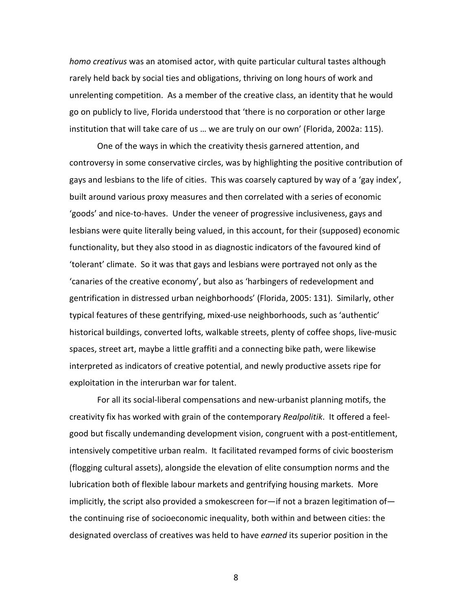*homo creativus* was an atomised actor, with quite particular cultural tastes although rarely held back by social ties and obligations, thriving on long hours of work and unrelenting competition. As a member of the creative class, an identity that he would go on publicly to live, Florida understood that 'there is no corporation or other large institution that will take care of us … we are truly on our own' (Florida, 2002a: 115).

One of the ways in which the creativity thesis garnered attention, and controversy in some conservative circles, was by highlighting the positive contribution of gays and lesbians to the life of cities. This was coarsely captured by way of a 'gay index', built around various proxy measures and then correlated with a series of economic 'goods' and nice-to-haves. Under the veneer of progressive inclusiveness, gays and lesbians were quite literally being valued, in this account, for their (supposed) economic functionality, but they also stood in as diagnostic indicators of the favoured kind of 'tolerant' climate. So it was that gays and lesbians were portrayed not only as the 'canaries of the creative economy', but also as 'harbingers of redevelopment and gentrification in distressed urban neighborhoods' (Florida, 2005: 131). Similarly, other typical features of these gentrifying, mixed-use neighborhoods, such as 'authentic' historical buildings, converted lofts, walkable streets, plenty of coffee shops, live-music spaces, street art, maybe a little graffiti and a connecting bike path, were likewise interpreted as indicators of creative potential, and newly productive assets ripe for exploitation in the interurban war for talent.

For all its social-liberal compensations and new-urbanist planning motifs, the creativity fix has worked with grain of the contemporary *Realpolitik*. It offered a feelgood but fiscally undemanding development vision, congruent with a post-entitlement, intensively competitive urban realm. It facilitated revamped forms of civic boosterism (flogging cultural assets), alongside the elevation of elite consumption norms and the lubrication both of flexible labour markets and gentrifying housing markets. More implicitly, the script also provided a smokescreen for—if not a brazen legitimation of the continuing rise of socioeconomic inequality, both within and between cities: the designated overclass of creatives was held to have *earned* its superior position in the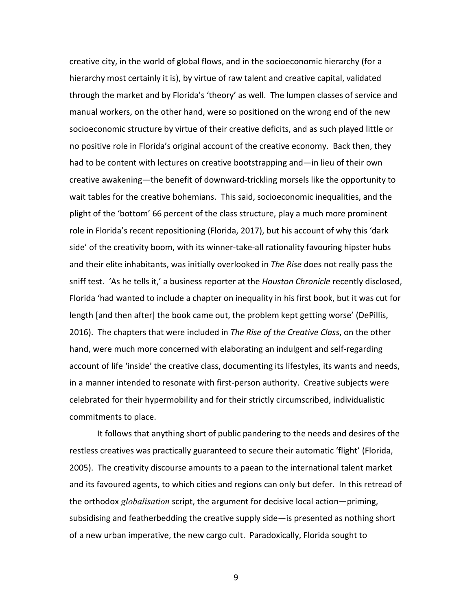creative city, in the world of global flows, and in the socioeconomic hierarchy (for a hierarchy most certainly it is), by virtue of raw talent and creative capital, validated through the market and by Florida's 'theory' as well. The lumpen classes of service and manual workers, on the other hand, were so positioned on the wrong end of the new socioeconomic structure by virtue of their creative deficits, and as such played little or no positive role in Florida's original account of the creative economy. Back then, they had to be content with lectures on creative bootstrapping and—in lieu of their own creative awakening—the benefit of downward-trickling morsels like the opportunity to wait tables for the creative bohemians. This said, socioeconomic inequalities, and the plight of the 'bottom' 66 percent of the class structure, play a much more prominent role in Florida's recent repositioning (Florida, 2017), but his account of why this 'dark side' of the creativity boom, with its winner-take-all rationality favouring hipster hubs and their elite inhabitants, was initially overlooked in *The Rise* does not really pass the sniff test. 'As he tells it,' a business reporter at the *Houston Chronicle* recently disclosed, Florida 'had wanted to include a chapter on inequality in his first book, but it was cut for length [and then after] the book came out, the problem kept getting worse' (DePillis, 2016). The chapters that were included in *The Rise of the Creative Class*, on the other hand, were much more concerned with elaborating an indulgent and self-regarding account of life 'inside' the creative class, documenting its lifestyles, its wants and needs, in a manner intended to resonate with first-person authority. Creative subjects were celebrated for their hypermobility and for their strictly circumscribed, individualistic commitments to place.

It follows that anything short of public pandering to the needs and desires of the restless creatives was practically guaranteed to secure their automatic 'flight' (Florida, 2005). The creativity discourse amounts to a paean to the international talent market and its favoured agents, to which cities and regions can only but defer. In this retread of the orthodox *globalisation* script, the argument for decisive local action—priming, subsidising and featherbedding the creative supply side—is presented as nothing short of a new urban imperative, the new cargo cult. Paradoxically, Florida sought to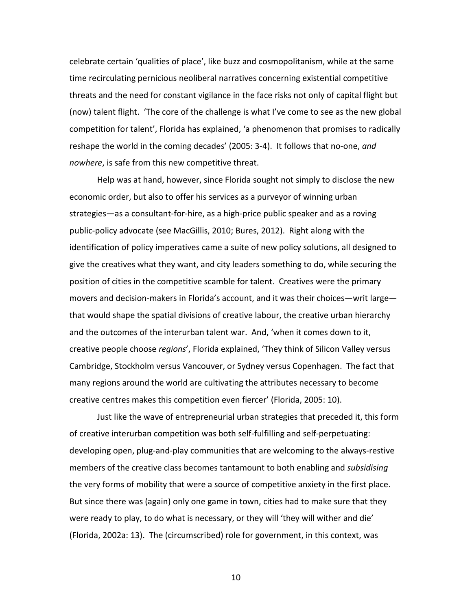celebrate certain 'qualities of place', like buzz and cosmopolitanism, while at the same time recirculating pernicious neoliberal narratives concerning existential competitive threats and the need for constant vigilance in the face risks not only of capital flight but (now) talent flight. 'The core of the challenge is what I've come to see as the new global competition for talent', Florida has explained, 'a phenomenon that promises to radically reshape the world in the coming decades' (2005: 3-4). It follows that no-one, *and nowhere*, is safe from this new competitive threat.

Help was at hand, however, since Florida sought not simply to disclose the new economic order, but also to offer his services as a purveyor of winning urban strategies—as a consultant-for-hire, as a high-price public speaker and as a roving public-policy advocate (see MacGillis, 2010; Bures, 2012). Right along with the identification of policy imperatives came a suite of new policy solutions, all designed to give the creatives what they want, and city leaders something to do, while securing the position of cities in the competitive scamble for talent. Creatives were the primary movers and decision-makers in Florida's account, and it was their choices—writ large that would shape the spatial divisions of creative labour, the creative urban hierarchy and the outcomes of the interurban talent war. And, 'when it comes down to it, creative people choose *regions*', Florida explained, 'They think of Silicon Valley versus Cambridge, Stockholm versus Vancouver, or Sydney versus Copenhagen. The fact that many regions around the world are cultivating the attributes necessary to become creative centres makes this competition even fiercer' (Florida, 2005: 10).

Just like the wave of entrepreneurial urban strategies that preceded it, this form of creative interurban competition was both self-fulfilling and self-perpetuating: developing open, plug-and-play communities that are welcoming to the always-restive members of the creative class becomes tantamount to both enabling and *subsidising*  the very forms of mobility that were a source of competitive anxiety in the first place. But since there was (again) only one game in town, cities had to make sure that they were ready to play, to do what is necessary, or they will 'they will wither and die' (Florida, 2002a: 13). The (circumscribed) role for government, in this context, was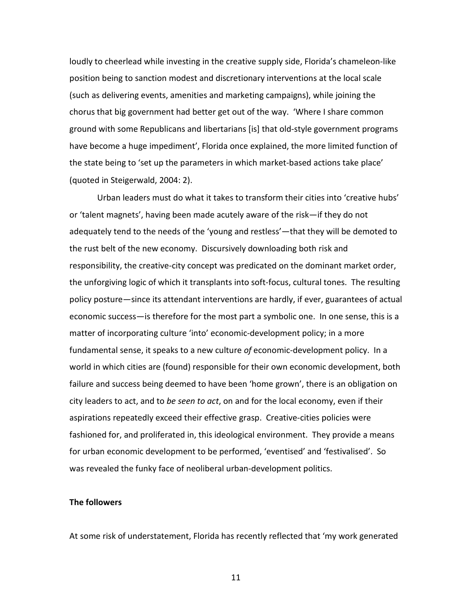loudly to cheerlead while investing in the creative supply side, Florida's chameleon-like position being to sanction modest and discretionary interventions at the local scale (such as delivering events, amenities and marketing campaigns), while joining the chorus that big government had better get out of the way. 'Where I share common ground with some Republicans and libertarians [is] that old-style government programs have become a huge impediment', Florida once explained, the more limited function of the state being to 'set up the parameters in which market-based actions take place' (quoted in Steigerwald, 2004: 2).

Urban leaders must do what it takes to transform their cities into 'creative hubs' or 'talent magnets', having been made acutely aware of the risk—if they do not adequately tend to the needs of the 'young and restless'—that they will be demoted to the rust belt of the new economy. Discursively downloading both risk and responsibility, the creative-city concept was predicated on the dominant market order, the unforgiving logic of which it transplants into soft-focus, cultural tones. The resulting policy posture—since its attendant interventions are hardly, if ever, guarantees of actual economic success—is therefore for the most part a symbolic one. In one sense, this is a matter of incorporating culture 'into' economic-development policy; in a more fundamental sense, it speaks to a new culture *of* economic-development policy. In a world in which cities are (found) responsible for their own economic development, both failure and success being deemed to have been 'home grown', there is an obligation on city leaders to act, and to *be seen to act*, on and for the local economy, even if their aspirations repeatedly exceed their effective grasp. Creative-cities policies were fashioned for, and proliferated in, this ideological environment. They provide a means for urban economic development to be performed, 'eventised' and 'festivalised'. So was revealed the funky face of neoliberal urban-development politics.

## **The followers**

At some risk of understatement, Florida has recently reflected that 'my work generated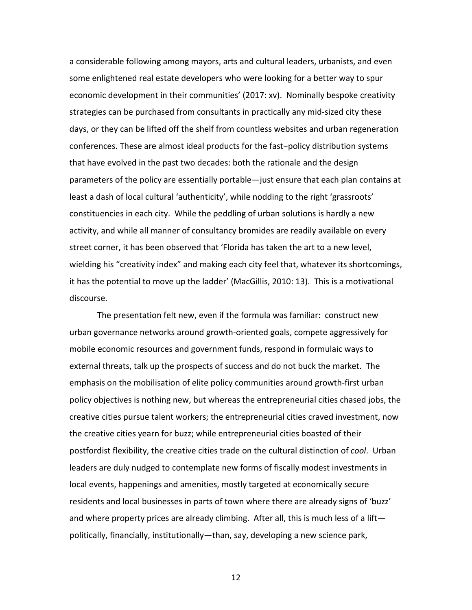a considerable following among mayors, arts and cultural leaders, urbanists, and even some enlightened real estate developers who were looking for a better way to spur economic development in their communities' (2017: xv). Nominally bespoke creativity strategies can be purchased from consultants in practically any mid-sized city these days, or they can be lifted off the shelf from countless websites and urban regeneration conferences. These are almost ideal products for the fast−policy distribution systems that have evolved in the past two decades: both the rationale and the design parameters of the policy are essentially portable—just ensure that each plan contains at least a dash of local cultural 'authenticity', while nodding to the right 'grassroots' constituencies in each city. While the peddling of urban solutions is hardly a new activity, and while all manner of consultancy bromides are readily available on every street corner, it has been observed that 'Florida has taken the art to a new level, wielding his "creativity index" and making each city feel that, whatever its shortcomings, it has the potential to move up the ladder' (MacGillis, 2010: 13). This is a motivational discourse.

The presentation felt new, even if the formula was familiar: construct new urban governance networks around growth-oriented goals, compete aggressively for mobile economic resources and government funds, respond in formulaic ways to external threats, talk up the prospects of success and do not buck the market. The emphasis on the mobilisation of elite policy communities around growth-first urban policy objectives is nothing new, but whereas the entrepreneurial cities chased jobs, the creative cities pursue talent workers; the entrepreneurial cities craved investment, now the creative cities yearn for buzz; while entrepreneurial cities boasted of their postfordist flexibility, the creative cities trade on the cultural distinction of *cool*. Urban leaders are duly nudged to contemplate new forms of fiscally modest investments in local events, happenings and amenities, mostly targeted at economically secure residents and local businesses in parts of town where there are already signs of 'buzz' and where property prices are already climbing. After all, this is much less of a lift politically, financially, institutionally—than, say, developing a new science park,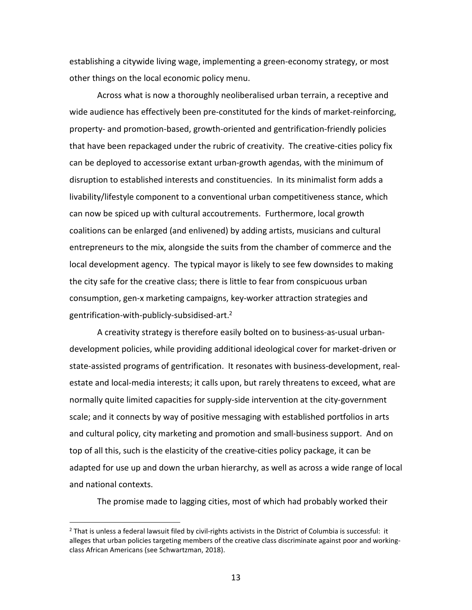establishing a citywide living wage, implementing a green-economy strategy, or most other things on the local economic policy menu.

Across what is now a thoroughly neoliberalised urban terrain, a receptive and wide audience has effectively been pre-constituted for the kinds of market-reinforcing, property- and promotion-based, growth-oriented and gentrification-friendly policies that have been repackaged under the rubric of creativity. The creative-cities policy fix can be deployed to accessorise extant urban-growth agendas, with the minimum of disruption to established interests and constituencies. In its minimalist form adds a livability/lifestyle component to a conventional urban competitiveness stance, which can now be spiced up with cultural accoutrements. Furthermore, local growth coalitions can be enlarged (and enlivened) by adding artists, musicians and cultural entrepreneurs to the mix, alongside the suits from the chamber of commerce and the local development agency. The typical mayor is likely to see few downsides to making the city safe for the creative class; there is little to fear from conspicuous urban consumption, gen-x marketing campaigns, key-worker attraction strategies and gentrification-with-publicly-subsidised-art. 2

A creativity strategy is therefore easily bolted on to business-as-usual urbandevelopment policies, while providing additional ideological cover for market-driven or state-assisted programs of gentrification. It resonates with business-development, realestate and local-media interests; it calls upon, but rarely threatens to exceed, what are normally quite limited capacities for supply-side intervention at the city-government scale; and it connects by way of positive messaging with established portfolios in arts and cultural policy, city marketing and promotion and small-business support. And on top of all this, such is the elasticity of the creative-cities policy package, it can be adapted for use up and down the urban hierarchy, as well as across a wide range of local and national contexts.

The promise made to lagging cities, most of which had probably worked their

 $\overline{a}$ 

 $<sup>2</sup>$  That is unless a federal lawsuit filed by civil-rights activists in the District of Columbia is successful: it</sup> alleges that urban policies targeting members of the creative class discriminate against poor and workingclass African Americans (see Schwartzman, 2018).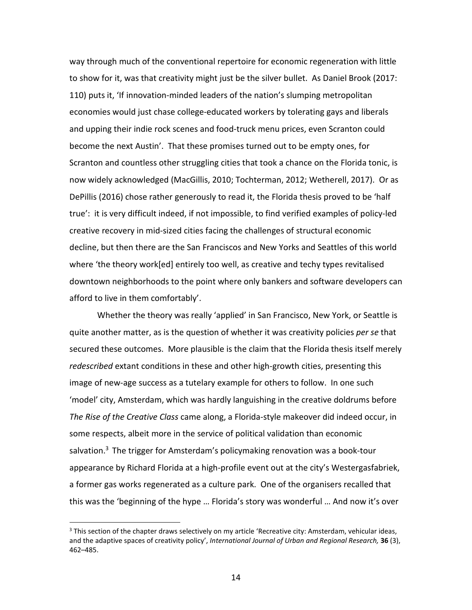way through much of the conventional repertoire for economic regeneration with little to show for it, was that creativity might just be the silver bullet. As Daniel Brook (2017: 110) puts it, 'If innovation-minded leaders of the nation's slumping metropolitan economies would just chase college-educated workers by tolerating gays and liberals and upping their indie rock scenes and food-truck menu prices, even Scranton could become the next Austin'. That these promises turned out to be empty ones, for Scranton and countless other struggling cities that took a chance on the Florida tonic, is now widely acknowledged (MacGillis, 2010; Tochterman, 2012; Wetherell, 2017). Or as DePillis (2016) chose rather generously to read it, the Florida thesis proved to be 'half true': it is very difficult indeed, if not impossible, to find verified examples of policy-led creative recovery in mid-sized cities facing the challenges of structural economic decline, but then there are the San Franciscos and New Yorks and Seattles of this world where 'the theory work[ed] entirely too well, as creative and techy types revitalised downtown neighborhoods to the point where only bankers and software developers can afford to live in them comfortably'.

Whether the theory was really 'applied' in San Francisco, New York, or Seattle is quite another matter, as is the question of whether it was creativity policies *per se* that secured these outcomes. More plausible is the claim that the Florida thesis itself merely *redescribed* extant conditions in these and other high-growth cities, presenting this image of new-age success as a tutelary example for others to follow. In one such 'model' city, Amsterdam, which was hardly languishing in the creative doldrums before *The Rise of the Creative Class* came along, a Florida-style makeover did indeed occur, in some respects, albeit more in the service of political validation than economic salvation.<sup>3</sup> The trigger for Amsterdam's policymaking renovation was a book-tour appearance by Richard Florida at a high-profile event out at the city's Westergasfabriek, a former gas works regenerated as a culture park. One of the organisers recalled that this was the 'beginning of the hype … Florida's story was wonderful … And now it's over

 $\overline{a}$ 

 $3$  This section of the chapter draws selectively on my article 'Recreative city: Amsterdam, vehicular ideas, and the adaptive spaces of creativity policy', *International Journal of Urban and Regional Research,* **36** (3), 462–485.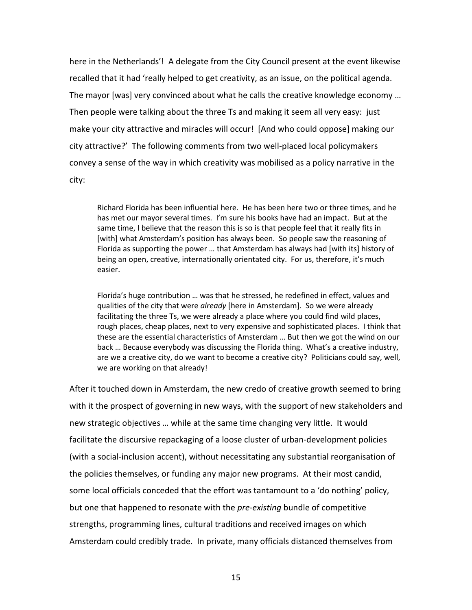here in the Netherlands'! A delegate from the City Council present at the event likewise recalled that it had 'really helped to get creativity, as an issue, on the political agenda. The mayor [was] very convinced about what he calls the creative knowledge economy … Then people were talking about the three Ts and making it seem all very easy: just make your city attractive and miracles will occur! [And who could oppose] making our city attractive?' The following comments from two well-placed local policymakers convey a sense of the way in which creativity was mobilised as a policy narrative in the city:

Richard Florida has been influential here. He has been here two or three times, and he has met our mayor several times. I'm sure his books have had an impact. But at the same time, I believe that the reason this is so is that people feel that it really fits in [with] what Amsterdam's position has always been. So people saw the reasoning of Florida as supporting the power … that Amsterdam has always had [with its] history of being an open, creative, internationally orientated city. For us, therefore, it's much easier.

Florida's huge contribution … was that he stressed, he redefined in effect, values and qualities of the city that were *already* [here in Amsterdam]. So we were already facilitating the three Ts, we were already a place where you could find wild places, rough places, cheap places, next to very expensive and sophisticated places. I think that these are the essential characteristics of Amsterdam … But then we got the wind on our back … Because everybody was discussing the Florida thing. What's a creative industry, are we a creative city, do we want to become a creative city? Politicians could say, well, we are working on that already!

After it touched down in Amsterdam, the new credo of creative growth seemed to bring with it the prospect of governing in new ways, with the support of new stakeholders and new strategic objectives … while at the same time changing very little. It would facilitate the discursive repackaging of a loose cluster of urban-development policies (with a social-inclusion accent), without necessitating any substantial reorganisation of the policies themselves, or funding any major new programs. At their most candid, some local officials conceded that the effort was tantamount to a 'do nothing' policy, but one that happened to resonate with the *pre-existing* bundle of competitive strengths, programming lines, cultural traditions and received images on which Amsterdam could credibly trade. In private, many officials distanced themselves from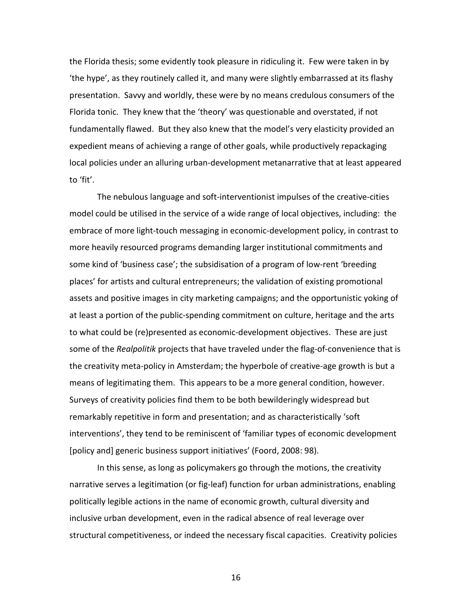the Florida thesis; some evidently took pleasure in ridiculing it. Few were taken in by 'the hype', as they routinely called it, and many were slightly embarrassed at its flashy presentation. Savvy and worldly, these were by no means credulous consumers of the Florida tonic. They knew that the 'theory' was questionable and overstated, if not fundamentally flawed. But they also knew that the model's very elasticity provided an expedient means of achieving a range of other goals, while productively repackaging local policies under an alluring urban-development metanarrative that at least appeared to 'fit'.

The nebulous language and soft-interventionist impulses of the creative-cities model could be utilised in the service of a wide range of local objectives, including: the embrace of more light-touch messaging in economic-development policy, in contrast to more heavily resourced programs demanding larger institutional commitments and some kind of 'business case'; the subsidisation of a program of low-rent 'breeding places' for artists and cultural entrepreneurs; the validation of existing promotional assets and positive images in city marketing campaigns; and the opportunistic yoking of at least a portion of the public-spending commitment on culture, heritage and the arts to what could be (re)presented as economic-development objectives. These are just some of the *Realpolitik* projects that have traveled under the flag-of-convenience that is the creativity meta-policy in Amsterdam; the hyperbole of creative-age growth is but a means of legitimating them. This appears to be a more general condition, however. Surveys of creativity policies find them to be both bewilderingly widespread but remarkably repetitive in form and presentation; and as characteristically 'soft interventions', they tend to be reminiscent of 'familiar types of economic development [policy and] generic business support initiatives' (Foord, 2008: 98).

In this sense, as long as policymakers go through the motions, the creativity narrative serves a legitimation (or fig-leaf) function for urban administrations, enabling politically legible actions in the name of economic growth, cultural diversity and inclusive urban development, even in the radical absence of real leverage over structural competitiveness, or indeed the necessary fiscal capacities. Creativity policies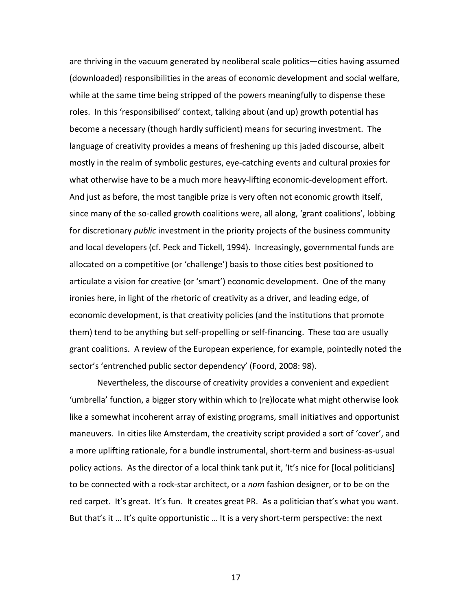are thriving in the vacuum generated by neoliberal scale politics—cities having assumed (downloaded) responsibilities in the areas of economic development and social welfare, while at the same time being stripped of the powers meaningfully to dispense these roles. In this 'responsibilised' context, talking about (and up) growth potential has become a necessary (though hardly sufficient) means for securing investment. The language of creativity provides a means of freshening up this jaded discourse, albeit mostly in the realm of symbolic gestures, eye-catching events and cultural proxies for what otherwise have to be a much more heavy-lifting economic-development effort. And just as before, the most tangible prize is very often not economic growth itself, since many of the so-called growth coalitions were, all along, 'grant coalitions', lobbing for discretionary *public* investment in the priority projects of the business community and local developers (cf. Peck and Tickell, 1994). Increasingly, governmental funds are allocated on a competitive (or 'challenge') basis to those cities best positioned to articulate a vision for creative (or 'smart') economic development. One of the many ironies here, in light of the rhetoric of creativity as a driver, and leading edge, of economic development, is that creativity policies (and the institutions that promote them) tend to be anything but self-propelling or self-financing. These too are usually grant coalitions. A review of the European experience, for example, pointedly noted the sector's 'entrenched public sector dependency' (Foord, 2008: 98).

Nevertheless, the discourse of creativity provides a convenient and expedient 'umbrella' function, a bigger story within which to (re)locate what might otherwise look like a somewhat incoherent array of existing programs, small initiatives and opportunist maneuvers. In cities like Amsterdam, the creativity script provided a sort of 'cover', and a more uplifting rationale, for a bundle instrumental, short-term and business-as-usual policy actions. As the director of a local think tank put it, 'It's nice for [local politicians] to be connected with a rock-star architect, or a *nom* fashion designer, or to be on the red carpet. It's great. It's fun. It creates great PR. As a politician that's what you want. But that's it … It's quite opportunistic … It is a very short-term perspective: the next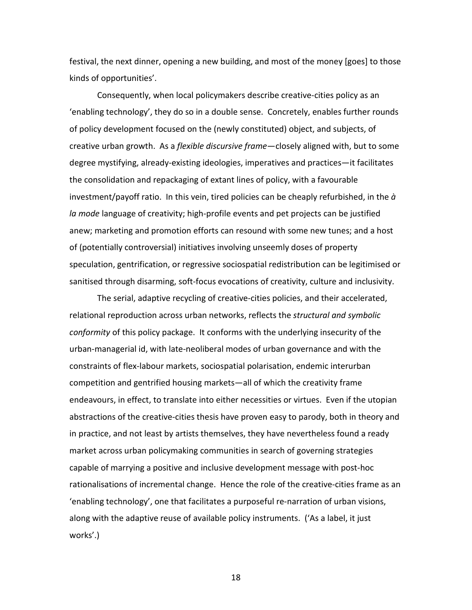festival, the next dinner, opening a new building, and most of the money [goes] to those kinds of opportunities'.

Consequently, when local policymakers describe creative-cities policy as an 'enabling technology', they do so in a double sense. Concretely, enables further rounds of policy development focused on the (newly constituted) object, and subjects, of creative urban growth. As a *flexible discursive frame*—closely aligned with, but to some degree mystifying, already-existing ideologies, imperatives and practices—it facilitates the consolidation and repackaging of extant lines of policy, with a favourable investment/payoff ratio. In this vein, tired policies can be cheaply refurbished, in the *à la mode* language of creativity; high-profile events and pet projects can be justified anew; marketing and promotion efforts can resound with some new tunes; and a host of (potentially controversial) initiatives involving unseemly doses of property speculation, gentrification, or regressive sociospatial redistribution can be legitimised or sanitised through disarming, soft-focus evocations of creativity, culture and inclusivity.

The serial, adaptive recycling of creative-cities policies, and their accelerated, relational reproduction across urban networks, reflects the *structural and symbolic conformity* of this policy package. It conforms with the underlying insecurity of the urban-managerial id, with late-neoliberal modes of urban governance and with the constraints of flex-labour markets, sociospatial polarisation, endemic interurban competition and gentrified housing markets—all of which the creativity frame endeavours, in effect, to translate into either necessities or virtues. Even if the utopian abstractions of the creative-cities thesis have proven easy to parody, both in theory and in practice, and not least by artists themselves, they have nevertheless found a ready market across urban policymaking communities in search of governing strategies capable of marrying a positive and inclusive development message with post-hoc rationalisations of incremental change. Hence the role of the creative-cities frame as an 'enabling technology', one that facilitates a purposeful re-narration of urban visions, along with the adaptive reuse of available policy instruments. ('As a label, it just works'.)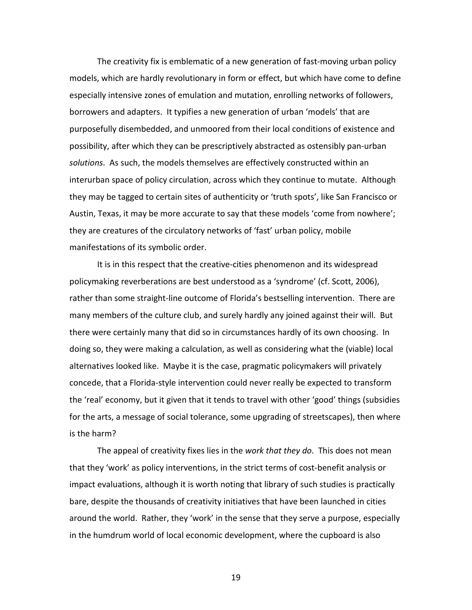The creativity fix is emblematic of a new generation of fast-moving urban policy models, which are hardly revolutionary in form or effect, but which have come to define especially intensive zones of emulation and mutation, enrolling networks of followers, borrowers and adapters. It typifies a new generation of urban 'models' that are purposefully disembedded, and unmoored from their local conditions of existence and possibility, after which they can be prescriptively abstracted as ostensibly pan-urban *solutions*. As such, the models themselves are effectively constructed within an interurban space of policy circulation, across which they continue to mutate. Although they may be tagged to certain sites of authenticity or 'truth spots', like San Francisco or Austin, Texas, it may be more accurate to say that these models 'come from nowhere'; they are creatures of the circulatory networks of 'fast' urban policy, mobile manifestations of its symbolic order.

It is in this respect that the creative-cities phenomenon and its widespread policymaking reverberations are best understood as a 'syndrome' (cf. Scott, 2006), rather than some straight-line outcome of Florida's bestselling intervention. There are many members of the culture club, and surely hardly any joined against their will. But there were certainly many that did so in circumstances hardly of its own choosing. In doing so, they were making a calculation, as well as considering what the (viable) local alternatives looked like. Maybe it is the case, pragmatic policymakers will privately concede, that a Florida-style intervention could never really be expected to transform the 'real' economy, but it given that it tends to travel with other 'good' things (subsidies for the arts, a message of social tolerance, some upgrading of streetscapes), then where is the harm?

The appeal of creativity fixes lies in the *work that they do*. This does not mean that they 'work' as policy interventions, in the strict terms of cost-benefit analysis or impact evaluations, although it is worth noting that library of such studies is practically bare, despite the thousands of creativity initiatives that have been launched in cities around the world. Rather, they 'work' in the sense that they serve a purpose, especially in the humdrum world of local economic development, where the cupboard is also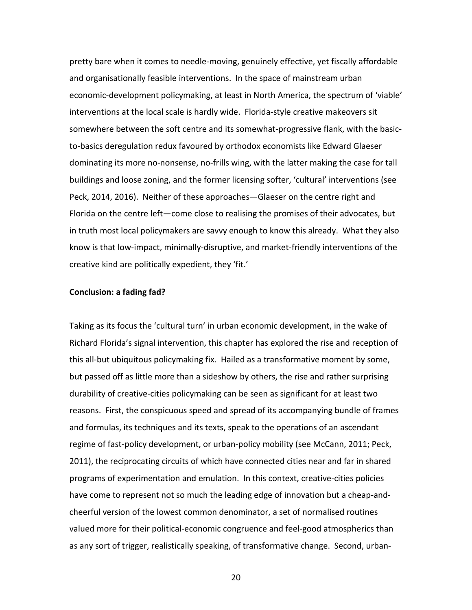pretty bare when it comes to needle-moving, genuinely effective, yet fiscally affordable and organisationally feasible interventions. In the space of mainstream urban economic-development policymaking, at least in North America, the spectrum of 'viable' interventions at the local scale is hardly wide. Florida-style creative makeovers sit somewhere between the soft centre and its somewhat-progressive flank, with the basicto-basics deregulation redux favoured by orthodox economists like Edward Glaeser dominating its more no-nonsense, no-frills wing, with the latter making the case for tall buildings and loose zoning, and the former licensing softer, 'cultural' interventions (see Peck, 2014, 2016). Neither of these approaches—Glaeser on the centre right and Florida on the centre left—come close to realising the promises of their advocates, but in truth most local policymakers are savvy enough to know this already. What they also know is that low-impact, minimally-disruptive, and market-friendly interventions of the creative kind are politically expedient, they 'fit.'

## **Conclusion: a fading fad?**

Taking as its focus the 'cultural turn' in urban economic development, in the wake of Richard Florida's signal intervention, this chapter has explored the rise and reception of this all-but ubiquitous policymaking fix. Hailed as a transformative moment by some, but passed off as little more than a sideshow by others, the rise and rather surprising durability of creative-cities policymaking can be seen as significant for at least two reasons. First, the conspicuous speed and spread of its accompanying bundle of frames and formulas, its techniques and its texts, speak to the operations of an ascendant regime of fast-policy development, or urban-policy mobility (see McCann, 2011; Peck, 2011), the reciprocating circuits of which have connected cities near and far in shared programs of experimentation and emulation. In this context, creative-cities policies have come to represent not so much the leading edge of innovation but a cheap-andcheerful version of the lowest common denominator, a set of normalised routines valued more for their political-economic congruence and feel-good atmospherics than as any sort of trigger, realistically speaking, of transformative change. Second, urban-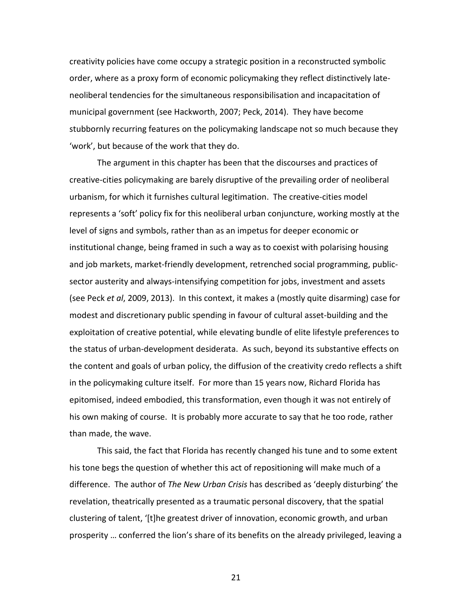creativity policies have come occupy a strategic position in a reconstructed symbolic order, where as a proxy form of economic policymaking they reflect distinctively lateneoliberal tendencies for the simultaneous responsibilisation and incapacitation of municipal government (see Hackworth, 2007; Peck, 2014). They have become stubbornly recurring features on the policymaking landscape not so much because they 'work', but because of the work that they do.

The argument in this chapter has been that the discourses and practices of creative-cities policymaking are barely disruptive of the prevailing order of neoliberal urbanism, for which it furnishes cultural legitimation. The creative-cities model represents a 'soft' policy fix for this neoliberal urban conjuncture, working mostly at the level of signs and symbols, rather than as an impetus for deeper economic or institutional change, being framed in such a way as to coexist with polarising housing and job markets, market-friendly development, retrenched social programming, publicsector austerity and always-intensifying competition for jobs, investment and assets (see Peck *et al*, 2009, 2013). In this context, it makes a (mostly quite disarming) case for modest and discretionary public spending in favour of cultural asset-building and the exploitation of creative potential, while elevating bundle of elite lifestyle preferences to the status of urban-development desiderata. As such, beyond its substantive effects on the content and goals of urban policy, the diffusion of the creativity credo reflects a shift in the policymaking culture itself. For more than 15 years now, Richard Florida has epitomised, indeed embodied, this transformation, even though it was not entirely of his own making of course. It is probably more accurate to say that he too rode, rather than made, the wave.

This said, the fact that Florida has recently changed his tune and to some extent his tone begs the question of whether this act of repositioning will make much of a difference. The author of *The New Urban Crisis* has described as 'deeply disturbing' the revelation, theatrically presented as a traumatic personal discovery, that the spatial clustering of talent, '[t]he greatest driver of innovation, economic growth, and urban prosperity … conferred the lion's share of its benefits on the already privileged, leaving a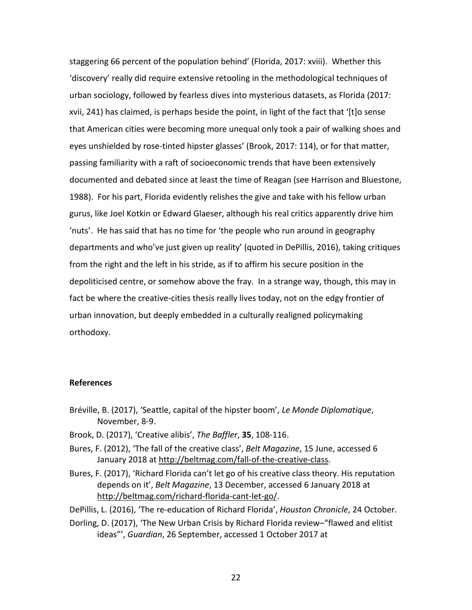staggering 66 percent of the population behind' (Florida, 2017: xviii). Whether this 'discovery' really did require extensive retooling in the methodological techniques of urban sociology, followed by fearless dives into mysterious datasets, as Florida (2017: xvii, 241) has claimed, is perhaps beside the point, in light of the fact that '[t]o sense that American cities were becoming more unequal only took a pair of walking shoes and eyes unshielded by rose-tinted hipster glasses' (Brook, 2017: 114), or for that matter, passing familiarity with a raft of socioeconomic trends that have been extensively documented and debated since at least the time of Reagan (see Harrison and Bluestone, 1988). For his part, Florida evidently relishes the give and take with his fellow urban gurus, like Joel Kotkin or Edward Glaeser, although his real critics apparently drive him 'nuts'. He has said that has no time for 'the people who run around in geography departments and who've just given up reality' (quoted in DePillis, 2016), taking critiques from the right and the left in his stride, as if to affirm his secure position in the depoliticised centre, or somehow above the fray. In a strange way, though, this may in fact be where the creative-cities thesis really lives today, not on the edgy frontier of urban innovation, but deeply embedded in a culturally realigned policymaking orthodoxy.

## **References**

- Bréville, B. (2017), 'Seattle, capital of the hipster boom', *Le Monde Diplomatique*, November, 8-9.
- Brook, D. (2017), 'Creative alibis', *The Baffler*, **35**, 108-116.
- Bures, F. (2012), 'The fall of the creative class', *Belt Magazine*, 15 June, accessed 6 January 2018 at http://beltmag.com/fall-of-the-creative-class.
- Bures, F. (2017), 'Richard Florida can't let go of his creative class theory. His reputation depends on it', *Belt Magazine*, 13 December, accessed 6 January 2018 at http://beltmag.com/richard-florida-cant-let-go/.
- DePillis, L. (2016), 'The re-education of Richard Florida', *Houston Chronicle*, 24 October.
- Dorling, D. (2017), 'The New Urban Crisis by Richard Florida review–"flawed and elitist ideas"', *Guardian*, 26 September, accessed 1 October 2017 at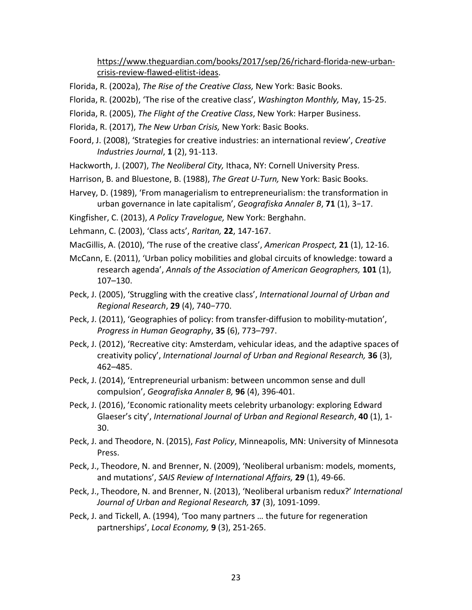https://www.theguardian.com/books/2017/sep/26/richard-florida-new-urbancrisis-review-flawed-elitist-ideas.

- Florida, R. (2002a), *The Rise of the Creative Class,* New York: Basic Books.
- Florida, R. (2002b), 'The rise of the creative class', *Washington Monthly,* May, 15-25.
- Florida, R. (2005), *The Flight of the Creative Class*, New York: Harper Business.
- Florida, R. (2017), *The New Urban Crisis,* New York: Basic Books.
- Foord, J. (2008), 'Strategies for creative industries: an international review', *Creative Industries Journal*, **1** (2), 91-113.
- Hackworth, J. (2007), *The Neoliberal City,* Ithaca, NY: Cornell University Press.
- Harrison, B. and Bluestone, B. (1988), *The Great U-Turn,* New York: Basic Books.
- Harvey, D. (1989), 'From managerialism to entrepreneurialism: the transformation in urban governance in late capitalism', *Geografiska Annaler B*, **71** (1), 3−17.
- Kingfisher, C. (2013), *A Policy Travelogue,* New York: Berghahn.
- Lehmann, C. (2003), 'Class acts', *Raritan,* **22**, 147-167.
- MacGillis, A. (2010), 'The ruse of the creative class', *American Prospect,* **21** (1), 12-16.
- McCann, E. (2011), 'Urban policy mobilities and global circuits of knowledge: toward a research agenda', *Annals of the Association of American Geographers,* **101** (1), 107–130.
- Peck, J. (2005), 'Struggling with the creative class', *International Journal of Urban and Regional Research*, **29** (4), 740−770.
- Peck, J. (2011), 'Geographies of policy: from transfer-diffusion to mobility-mutation', *Progress in Human Geography*, **35** (6), 773–797.
- Peck, J. (2012), 'Recreative city: Amsterdam, vehicular ideas, and the adaptive spaces of creativity policy', *International Journal of Urban and Regional Research,* **36** (3), 462–485.
- Peck, J. (2014), 'Entrepreneurial urbanism: between uncommon sense and dull compulsion', *Geografiska Annaler B,* **96** (4), 396-401.
- Peck, J. (2016), 'Economic rationality meets celebrity urbanology: exploring Edward Glaeser's city', *International Journal of Urban and Regional Research*, **40** (1), 1- 30.
- Peck, J. and Theodore, N. (2015), *Fast Policy*, Minneapolis, MN: University of Minnesota Press.
- Peck, J., Theodore, N. and Brenner, N. (2009), 'Neoliberal urbanism: models, moments, and mutations', *SAIS Review of International Affairs,* **29** (1), 49-66.
- Peck, J., Theodore, N. and Brenner, N. (2013), 'Neoliberal urbanism redux?' *International Journal of Urban and Regional Research,* **37** (3), 1091-1099.
- Peck, J. and Tickell, A. (1994), 'Too many partners … the future for regeneration partnerships', *Local Economy,* **9** (3), 251-265.